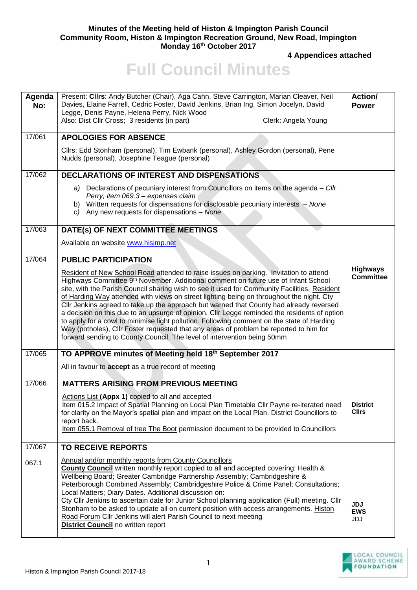## **Minutes of the Meeting held of Histon & Impington Parish Council Community Room, Histon & Impington Recreation Ground, New Road, Impington Monday 16th October 2017**

**4 Appendices attached** 

## **Full Council Minutes**

| Agenda<br>No: | Present: Cllrs: Andy Butcher (Chair), Aga Cahn, Steve Carrington, Marian Cleaver, Neil<br>Davies, Elaine Farrell, Cedric Foster, David Jenkins, Brian Ing, Simon Jocelyn, David<br>Legge, Denis Payne, Helena Perry, Nick Wood<br>Also: Dist Cllr Cross; 3 residents (in part)<br>Clerk: Angela Young                                                                                                                                                                                                                                                                                                                                                                                                                                                                                                                                             | Action/<br><b>Power</b>             |
|---------------|---------------------------------------------------------------------------------------------------------------------------------------------------------------------------------------------------------------------------------------------------------------------------------------------------------------------------------------------------------------------------------------------------------------------------------------------------------------------------------------------------------------------------------------------------------------------------------------------------------------------------------------------------------------------------------------------------------------------------------------------------------------------------------------------------------------------------------------------------|-------------------------------------|
| 17/061        | <b>APOLOGIES FOR ABSENCE</b>                                                                                                                                                                                                                                                                                                                                                                                                                                                                                                                                                                                                                                                                                                                                                                                                                      |                                     |
|               | Cllrs: Edd Stonham (personal), Tim Ewbank (personal), Ashley Gordon (personal), Pene<br>Nudds (personal), Josephine Teague (personal)                                                                                                                                                                                                                                                                                                                                                                                                                                                                                                                                                                                                                                                                                                             |                                     |
| 17/062        | <b>DECLARATIONS OF INTEREST AND DISPENSATIONS</b>                                                                                                                                                                                                                                                                                                                                                                                                                                                                                                                                                                                                                                                                                                                                                                                                 |                                     |
|               | a) Declarations of pecuniary interest from Councillors on items on the agenda - Cllr<br>Perry, item 069.3 - expenses claim<br>b) Written requests for dispensations for disclosable pecuniary interests - None<br>c) Any new requests for dispensations $-$ None                                                                                                                                                                                                                                                                                                                                                                                                                                                                                                                                                                                  |                                     |
| 17/063        | DATE(s) OF NEXT COMMITTEE MEETINGS                                                                                                                                                                                                                                                                                                                                                                                                                                                                                                                                                                                                                                                                                                                                                                                                                |                                     |
|               | Available on website www.hisimp.net                                                                                                                                                                                                                                                                                                                                                                                                                                                                                                                                                                                                                                                                                                                                                                                                               |                                     |
| 17/064        | <b>PUBLIC PARTICIPATION</b>                                                                                                                                                                                                                                                                                                                                                                                                                                                                                                                                                                                                                                                                                                                                                                                                                       |                                     |
|               | Resident of New School Road attended to raise issues on parking. Invitation to attend<br>Highways Committee 9 <sup>th</sup> November. Additional comment on future use of Infant School<br>site, with the Parish Council sharing wish to see it used for Community Facilities. Resident<br>of Harding Way attended with views on street lighting being on throughout the night. Cty<br>Cllr Jenkins agreed to take up the approach but warned that County had already reversed<br>a decision on this due to an upsurge of opinion. Cllr Legge reminded the residents of option<br>to apply for a cowl to minimise light pollution. Following comment on the state of Harding<br>Way (potholes), Cllr Foster requested that any areas of problem be reported to him for<br>forward sending to County Council. The level of intervention being 50mm | <b>Highways</b><br><b>Committee</b> |
| 17/065        | TO APPROVE minutes of Meeting held 18th September 2017                                                                                                                                                                                                                                                                                                                                                                                                                                                                                                                                                                                                                                                                                                                                                                                            |                                     |
|               | All in favour to accept as a true record of meeting                                                                                                                                                                                                                                                                                                                                                                                                                                                                                                                                                                                                                                                                                                                                                                                               |                                     |
| 17/066        | <b>MATTERS ARISING FROM PREVIOUS MEETING</b>                                                                                                                                                                                                                                                                                                                                                                                                                                                                                                                                                                                                                                                                                                                                                                                                      |                                     |
|               | Actions List (Appx 1) copied to all and accepted<br>Item 015.2 Impact of Spatial Planning on Local Plan Timetable Cllr Payne re-iterated need   District<br>for clarity on the Mayor's spatial plan and impact on the Local Plan. District Councillors to<br>report back.<br>Item 055.1 Removal of tree The Boot permission document to be provided to Councillors                                                                                                                                                                                                                                                                                                                                                                                                                                                                                | <b>Cllrs</b>                        |
| 17/067        | <b>TO RECEIVE REPORTS</b>                                                                                                                                                                                                                                                                                                                                                                                                                                                                                                                                                                                                                                                                                                                                                                                                                         |                                     |
| 067.1         | Annual and/or monthly reports from County Councillors<br>County Council written monthly report copied to all and accepted covering: Health &<br>Wellbeing Board; Greater Cambridge Partnership Assembly; Cambridgeshire &<br>Peterborough Combined Assembly; Cambridgeshire Police & Crime Panel; Consultations;<br>Local Matters; Diary Dates. Additional discussion on:<br>Cty Cllr Jenkins to ascertain date for Junior School planning application (Full) meeting. Cllr<br>Stonham to be asked to update all on current position with access arrangements. Histon<br>Road Forum Cllr Jenkins will alert Parish Council to next meeting<br><b>District Council</b> no written report                                                                                                                                                           | <b>JDJ</b><br><b>EWS</b><br>JDJ     |

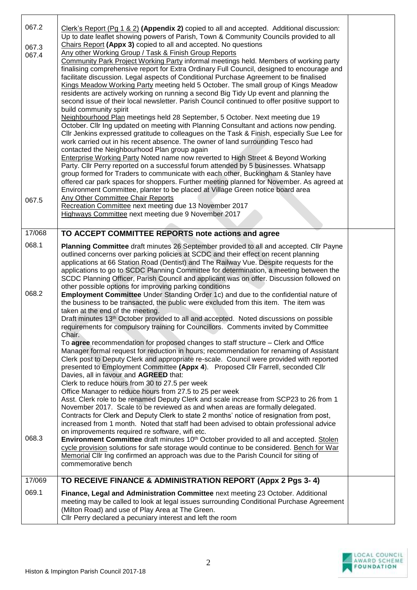| 067.2<br>067.3<br>067.4<br>067.5 | Clerk's Report (Pg 1 & 2) (Appendix 2) copied to all and accepted. Additional discussion:<br>Up to date leaflet showing powers of Parish, Town & Community Councils provided to all<br>Chairs Report (Appx 3) copied to all and accepted. No questions<br>Any other Working Group / Task & Finish Group Reports<br>Community Park Project Working Party informal meetings held. Members of working party<br>finalising comprehensive report for Extra Ordinary Full Council, designed to encourage and<br>facilitate discussion. Legal aspects of Conditional Purchase Agreement to be finalised<br>Kings Meadow Working Party meeting held 5 October. The small group of Kings Meadow<br>residents are actively working on running a second Big Tidy Up event and planning the<br>second issue of their local newsletter. Parish Council continued to offer positive support to<br>build community spirit<br>Neighbourhood Plan meetings held 28 September, 5 October. Next meeting due 19<br>October. Cllr Ing updated on meeting with Planning Consultant and actions now pending.<br>Cllr Jenkins expressed gratitude to colleagues on the Task & Finish, especially Sue Lee for<br>work carried out in his recent absence. The owner of land surrounding Tesco had<br>contacted the Neighbourhood Plan group again<br><b>Enterprise Working Party Noted name now reverted to High Street &amp; Beyond Working</b><br>Party. Cllr Perry reported on a successful forum attended by 5 businesses. Whatsapp<br>group formed for Traders to communicate with each other, Buckingham & Stanley have<br>offered car park spaces for shoppers. Further meeting planned for November. As agreed at<br>Environment Committee, planter to be placed at Village Green notice board area<br>Any Other Committee Chair Reports |  |
|----------------------------------|------------------------------------------------------------------------------------------------------------------------------------------------------------------------------------------------------------------------------------------------------------------------------------------------------------------------------------------------------------------------------------------------------------------------------------------------------------------------------------------------------------------------------------------------------------------------------------------------------------------------------------------------------------------------------------------------------------------------------------------------------------------------------------------------------------------------------------------------------------------------------------------------------------------------------------------------------------------------------------------------------------------------------------------------------------------------------------------------------------------------------------------------------------------------------------------------------------------------------------------------------------------------------------------------------------------------------------------------------------------------------------------------------------------------------------------------------------------------------------------------------------------------------------------------------------------------------------------------------------------------------------------------------------------------------------------------------------------------------------------------------------------------------------------------------------------------|--|
|                                  | Recreation Committee next meeting due 13 November 2017<br>Highways Committee next meeting due 9 November 2017                                                                                                                                                                                                                                                                                                                                                                                                                                                                                                                                                                                                                                                                                                                                                                                                                                                                                                                                                                                                                                                                                                                                                                                                                                                                                                                                                                                                                                                                                                                                                                                                                                                                                                          |  |
| 17/068                           | TO ACCEPT COMMITTEE REPORTS note actions and agree                                                                                                                                                                                                                                                                                                                                                                                                                                                                                                                                                                                                                                                                                                                                                                                                                                                                                                                                                                                                                                                                                                                                                                                                                                                                                                                                                                                                                                                                                                                                                                                                                                                                                                                                                                     |  |
| 068.1                            | Planning Committee draft minutes 26 September provided to all and accepted. Cllr Payne<br>outlined concerns over parking policies at SCDC and their effect on recent planning<br>applications at 66 Station Road (Dentist) and The Railway Vue. Despite requests for the<br>applications to go to SCDC Planning Committee for determination, a meeting between the<br>SCDC Planning Officer, Parish Council and applicant was on offer. Discussion followed on                                                                                                                                                                                                                                                                                                                                                                                                                                                                                                                                                                                                                                                                                                                                                                                                                                                                                                                                                                                                                                                                                                                                                                                                                                                                                                                                                         |  |
| 068.2                            | other possible options for improving parking conditions<br><b>Employment Committee</b> Under Standing Order 1c) and due to the confidential nature of<br>the business to be transacted, the public were excluded from this item. The item was<br>taken at the end of the meeting.<br>Draft minutes 13 <sup>th</sup> October provided to all and accepted. Noted discussions on possible<br>requirements for compulsory training for Councillors. Comments invited by Committee<br>Chair.                                                                                                                                                                                                                                                                                                                                                                                                                                                                                                                                                                                                                                                                                                                                                                                                                                                                                                                                                                                                                                                                                                                                                                                                                                                                                                                               |  |
|                                  | To agree recommendation for proposed changes to staff structure – Clerk and Office<br>Manager formal request for reduction in hours; recommendation for renaming of Assistant<br>Clerk post to Deputy Clerk and appropriate re-scale. Council were provided with reported<br>presented to Employment Committee (Appx 4). Proposed Cllr Farrell, seconded Cllr<br>Davies, all in favour and AGREED that:<br>Clerk to reduce hours from 30 to 27.5 per week                                                                                                                                                                                                                                                                                                                                                                                                                                                                                                                                                                                                                                                                                                                                                                                                                                                                                                                                                                                                                                                                                                                                                                                                                                                                                                                                                              |  |
|                                  | Office Manager to reduce hours from 27.5 to 25 per week<br>Asst. Clerk role to be renamed Deputy Clerk and scale increase from SCP23 to 26 from 1<br>November 2017. Scale to be reviewed as and when areas are formally delegated.<br>Contracts for Clerk and Deputy Clerk to state 2 months' notice of resignation from post,<br>increased from 1 month. Noted that staff had been advised to obtain professional advice<br>on improvements required re software, wifi etc.                                                                                                                                                                                                                                                                                                                                                                                                                                                                                                                                                                                                                                                                                                                                                                                                                                                                                                                                                                                                                                                                                                                                                                                                                                                                                                                                           |  |
| 068.3                            | <b>Environment Committee</b> draft minutes 10 <sup>th</sup> October provided to all and accepted. Stolen<br>cycle provision solutions for safe storage would continue to be considered. Bench for War<br>Memorial Cllr Ing confirmed an approach was due to the Parish Council for siting of<br>commemorative bench                                                                                                                                                                                                                                                                                                                                                                                                                                                                                                                                                                                                                                                                                                                                                                                                                                                                                                                                                                                                                                                                                                                                                                                                                                                                                                                                                                                                                                                                                                    |  |
| 17/069                           | TO RECEIVE FINANCE & ADMINISTRATION REPORT (Appx 2 Pgs 3-4)                                                                                                                                                                                                                                                                                                                                                                                                                                                                                                                                                                                                                                                                                                                                                                                                                                                                                                                                                                                                                                                                                                                                                                                                                                                                                                                                                                                                                                                                                                                                                                                                                                                                                                                                                            |  |
| 069.1                            | Finance, Legal and Administration Committee next meeting 23 October. Additional<br>meeting may be called to look at legal issues surrounding Conditional Purchase Agreement<br>(Milton Road) and use of Play Area at The Green.<br>Cllr Perry declared a pecuniary interest and left the room                                                                                                                                                                                                                                                                                                                                                                                                                                                                                                                                                                                                                                                                                                                                                                                                                                                                                                                                                                                                                                                                                                                                                                                                                                                                                                                                                                                                                                                                                                                          |  |